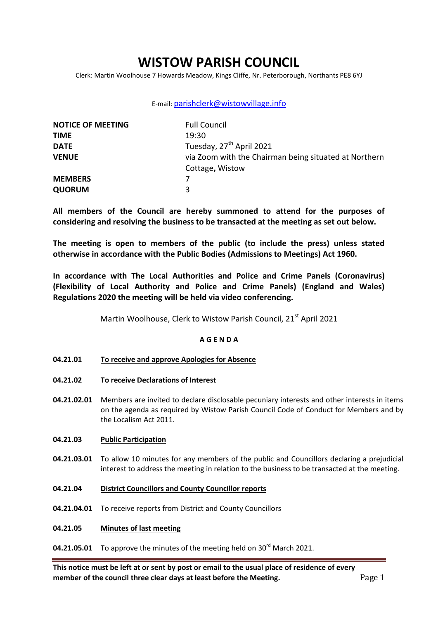# **WISTOW PARISH COUNCIL**

Clerk: Martin Woolhouse 7 Howards Meadow, Kings Cliffe, Nr. Peterborough, Northants PE8 6YJ

### E-mail: [parishclerk@wistowvillage.info](mailto:parishclerk@wistowvillage.info)

| <b>NOTICE OF MEETING</b> | <b>Full Council</b>                                   |  |
|--------------------------|-------------------------------------------------------|--|
| <b>TIME</b>              | 19:30                                                 |  |
| <b>DATE</b>              | Tuesday, 27 <sup>th</sup> April 2021                  |  |
| <b>VENUE</b>             | via Zoom with the Chairman being situated at Northern |  |
|                          | Cottage, Wistow                                       |  |
| <b>MEMBERS</b>           |                                                       |  |
| <b>QUORUM</b>            | 3                                                     |  |

**All members of the Council are hereby summoned to attend for the purposes of considering and resolving the business to be transacted at the meeting as set out below.** 

**The meeting is open to members of the public (to include the press) unless stated otherwise in accordance with the Public Bodies (Admissions to Meetings) Act 1960.**

**In accordance with The Local Authorities and Police and Crime Panels (Coronavirus) (Flexibility of Local Authority and Police and Crime Panels) (England and Wales) Regulations 2020 the meeting will be held via video conferencing.** 

Martin Woolhouse, Clerk to Wistow Parish Council, 21<sup>st</sup> April 2021

### **A G E N D A**

- **04.21.01 To receive and approve Apologies for Absence**
- **04.21.02 To receive Declarations of Interest**
- **04.21.02.01** Members are invited to declare disclosable pecuniary interests and other interests in items on the agenda as required by Wistow Parish Council Code of Conduct for Members and by the Localism Act 2011.

#### **04.21.03 Public Participation**

- **04.21.03.01** To allow 10 minutes for any members of the public and Councillors declaring a prejudicial interest to address the meeting in relation to the business to be transacted at the meeting.
- **04.21.04 District Councillors and County Councillor reports**
- **04.21.04.01** To receive reports from District and County Councillors
- **04.21.05 Minutes of last meeting**

# **04.21.05.01** To approve the minutes of the meeting held on 30<sup>rd</sup> March 2021.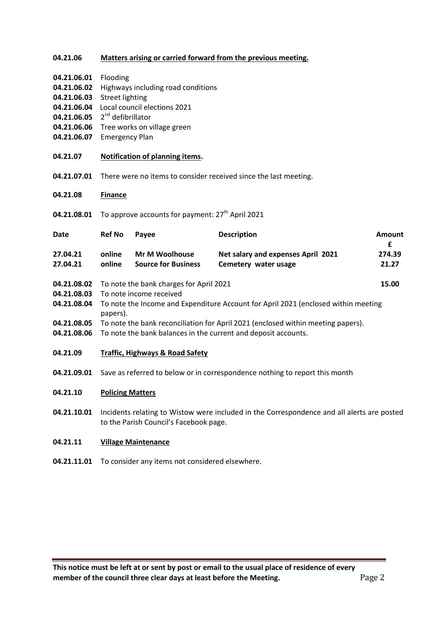## **04.21.06 Matters arising or carried forward from the previous meeting.**

| 04.21.06.01 | Flooding |
|-------------|----------|
|-------------|----------|

- **04.21.06.02** Highways including road conditions
- **04.21.06.03** Street lighting
- **04.21.06.04** Local council elections 2021
- **04.21.06.05** 2<sup>nd</sup> defibrillator
- **04.21.06.06** Tree works on village green
- **04.21.06.07** Emergency Plan
- **04.21.07 Notification of planning items.**
- **04.21.07.01** There were no items to consider received since the last meeting.
- **04.21.08 Finance**
- **04.21.08.01** To approve accounts for payment: 27<sup>th</sup> April 2021

| Date                       | <b>Ref No</b>                                                      | Pavee                                               | <b>Description</b>                                         | Amount<br>£     |
|----------------------------|--------------------------------------------------------------------|-----------------------------------------------------|------------------------------------------------------------|-----------------|
| 27.04.21<br>27.04.21       | online<br>online                                                   | <b>Mr M Woolhouse</b><br><b>Source for Business</b> | Net salary and expenses April 2021<br>Cemetery water usage | 274.39<br>21.27 |
| 04.21.08.02<br>04.21.08.03 | To note the bank charges for April 2021<br>To note income received |                                                     |                                                            | 15.00           |

- **04.21.08.04** To note the Income and Expenditure Account for April 2021 (enclosed within meeting papers).
- **04.21.08.05** To note the bank reconciliation for April 2021 (enclosed within meeting papers).
- **04.21.08.06** To note the bank balances in the current and deposit accounts.
- **04.21.09 Traffic, Highways & Road Safety**
- **04.21.09.01** Save as referred to below or in correspondence nothing to report this month

#### **04.21.10 Policing Matters**

**04.21.10.01** Incidents relating to Wistow were included in the Correspondence and all alerts are posted to the Parish Council's Facebook page.

#### **04.21.11 Village Maintenance**

**04.21.11.01** To consider any items not considered elsewhere.